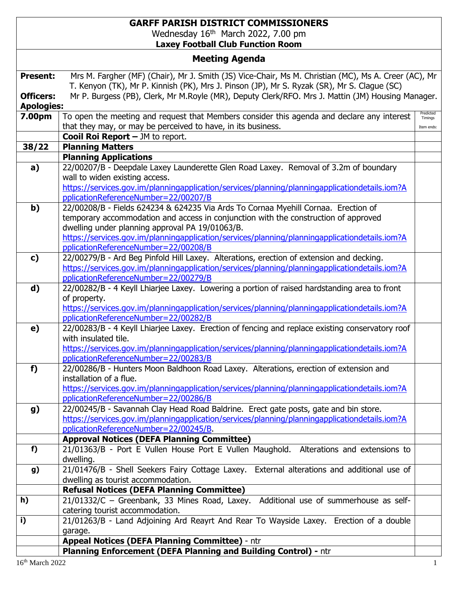## **GARFF PARISH DISTRICT COMMISSIONERS** Wednesday 16<sup>th</sup> March 2022, 7.00 pm **Laxey Football Club Function Room**

| <b>Meeting Agenda</b>                 |                                                                                                                                                                                                     |                      |  |
|---------------------------------------|-----------------------------------------------------------------------------------------------------------------------------------------------------------------------------------------------------|----------------------|--|
| <b>Present:</b>                       | Mrs M. Fargher (MF) (Chair), Mr J. Smith (JS) Vice-Chair, Ms M. Christian (MC), Ms A. Creer (AC), Mr<br>T. Kenyon (TK), Mr P. Kinnish (PK), Mrs J. Pinson (JP), Mr S. Ryzak (SR), Mr S. Clague (SC) |                      |  |
| <b>Officers:</b><br><b>Apologies:</b> | Mr P. Burgess (PB), Clerk, Mr M.Royle (MR), Deputy Clerk/RFO. Mrs J. Mattin (JM) Housing Manager.                                                                                                   |                      |  |
| 7.00pm                                | To open the meeting and request that Members consider this agenda and declare any interest                                                                                                          | Predicted<br>Timings |  |
|                                       | that they may, or may be perceived to have, in its business.                                                                                                                                        | Item ends:           |  |
|                                       | <b>Cooil Roi Report - JM to report.</b>                                                                                                                                                             |                      |  |
| 38/22                                 | <b>Planning Matters</b><br><b>Planning Applications</b>                                                                                                                                             |                      |  |
| a)                                    | 22/00207/B - Deepdale Laxey Launderette Glen Road Laxey. Removal of 3.2m of boundary                                                                                                                |                      |  |
|                                       | wall to widen existing access.                                                                                                                                                                      |                      |  |
|                                       | https://services.gov.im/planningapplication/services/planning/planningapplicationdetails.iom?A                                                                                                      |                      |  |
|                                       | pplicationReferenceNumber=22/00207/B                                                                                                                                                                |                      |  |
| b)                                    | 22/00208/B - Fields 624234 & 624235 Via Ards To Cornaa Myehill Cornaa. Erection of                                                                                                                  |                      |  |
|                                       | temporary accommodation and access in conjunction with the construction of approved                                                                                                                 |                      |  |
|                                       | dwelling under planning approval PA 19/01063/B.                                                                                                                                                     |                      |  |
|                                       | https://services.gov.im/planningapplication/services/planning/planningapplicationdetails.iom?A<br>pplicationReferenceNumber=22/00208/B                                                              |                      |  |
| c)                                    | 22/00279/B - Ard Beg Pinfold Hill Laxey. Alterations, erection of extension and decking.                                                                                                            |                      |  |
|                                       | https://services.gov.im/planningapplication/services/planning/planningapplicationdetails.iom?A                                                                                                      |                      |  |
|                                       | pplicationReferenceNumber=22/00279/B                                                                                                                                                                |                      |  |
| d)                                    | 22/00282/B - 4 Keyll Lhiarjee Laxey. Lowering a portion of raised hardstanding area to front                                                                                                        |                      |  |
|                                       | of property.                                                                                                                                                                                        |                      |  |
|                                       | https://services.gov.im/planningapplication/services/planning/planningapplicationdetails.iom?A                                                                                                      |                      |  |
|                                       | pplicationReferenceNumber=22/00282/B                                                                                                                                                                |                      |  |
| e)                                    | 22/00283/B - 4 Keyll Lhiarjee Laxey. Erection of fencing and replace existing conservatory roof<br>with insulated tile.                                                                             |                      |  |
|                                       | https://services.gov.im/planningapplication/services/planning/planningapplicationdetails.iom?A                                                                                                      |                      |  |
|                                       | pplicationReferenceNumber=22/00283/B                                                                                                                                                                |                      |  |
| f)                                    | 22/00286/B - Hunters Moon Baldhoon Road Laxey. Alterations, erection of extension and                                                                                                               |                      |  |
|                                       | installation of a flue.                                                                                                                                                                             |                      |  |
|                                       | https://services.gov.im/planningapplication/services/planning/planningapplicationdetails.iom?A                                                                                                      |                      |  |
|                                       | pplicationReferenceNumber=22/00286/B                                                                                                                                                                |                      |  |
| g)                                    | 22/00245/B - Savannah Clay Head Road Baldrine. Erect gate posts, gate and bin store.                                                                                                                |                      |  |
|                                       | https://services.gov.im/planningapplication/services/planning/planningapplicationdetails.iom?A<br>pplicationReferenceNumber=22/00245/B.                                                             |                      |  |
|                                       | <b>Approval Notices (DEFA Planning Committee)</b>                                                                                                                                                   |                      |  |
| f)                                    | 21/01363/B - Port E Vullen House Port E Vullen Maughold. Alterations and extensions to                                                                                                              |                      |  |
|                                       | dwelling.                                                                                                                                                                                           |                      |  |
| g)                                    | 21/01476/B - Shell Seekers Fairy Cottage Laxey. External alterations and additional use of                                                                                                          |                      |  |
|                                       | dwelling as tourist accommodation.                                                                                                                                                                  |                      |  |
|                                       | <b>Refusal Notices (DEFA Planning Committee)</b>                                                                                                                                                    |                      |  |
| h)                                    | 21/01332/C - Greenbank, 33 Mines Road, Laxey. Additional use of summerhouse as self-                                                                                                                |                      |  |
| i)                                    | catering tourist accommodation.<br>21/01263/B - Land Adjoining Ard Reayrt And Rear To Wayside Laxey. Erection of a double                                                                           |                      |  |
|                                       | garage.                                                                                                                                                                                             |                      |  |
|                                       | Appeal Notices (DEFA Planning Committee) - ntr                                                                                                                                                      |                      |  |
|                                       | Planning Enforcement (DEFA Planning and Building Control) - ntr                                                                                                                                     |                      |  |